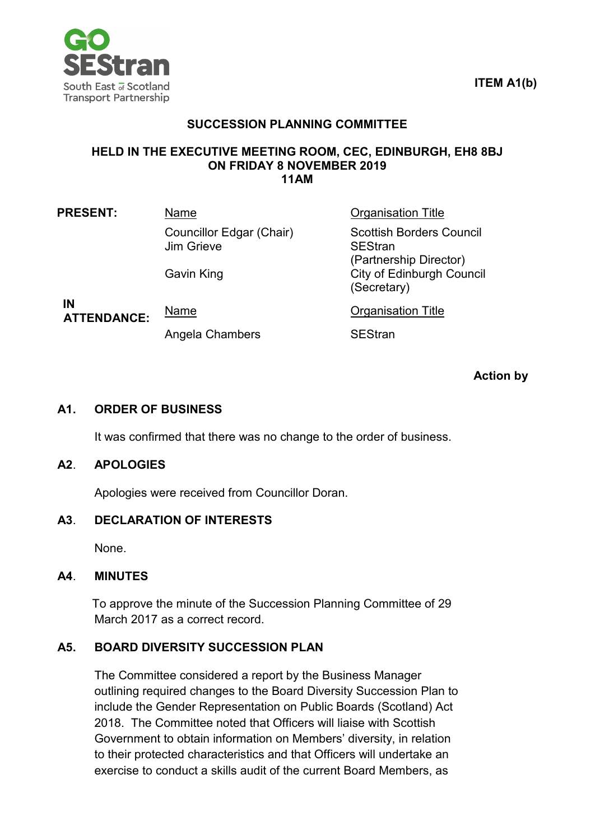

## **ITEM A1(b)**

## **SUCCESSION PLANNING COMMITTEE**

#### **HELD IN THE EXECUTIVE MEETING ROOM, CEC, EDINBURGH, EH8 8BJ ON FRIDAY 8 NOVEMBER 2019 11AM**

| <b>PRESENT:</b> | Name                                   |
|-----------------|----------------------------------------|
|                 | Councillor Edgar (Chair)<br>Jim Grieve |

Gavin King **City of Edinburgh Council** 

(Secretary)

**Praanisation Title** 

Scottish Borders Council

(Partnership Director)

**IN ATTENDANCE:** Name **Name** Organisation Title

Angela Chambers **SEStran** 

SEStran

**Action by**

#### **A1. ORDER OF BUSINESS**

It was confirmed that there was no change to the order of business.

#### **A2**. **APOLOGIES**

Apologies were received from Councillor Doran.

## **A3**. **DECLARATION OF INTERESTS**

None.

#### **A4**. **MINUTES**

To approve the minute of the Succession Planning Committee of 29 March 2017 as a correct record.

## **A5. BOARD DIVERSITY SUCCESSION PLAN**

The Committee considered a report by the Business Manager outlining required changes to the Board Diversity Succession Plan to include the Gender Representation on Public Boards (Scotland) Act 2018. The Committee noted that Officers will liaise with Scottish Government to obtain information on Members' diversity, in relation to their protected characteristics and that Officers will undertake an exercise to conduct a skills audit of the current Board Members, as